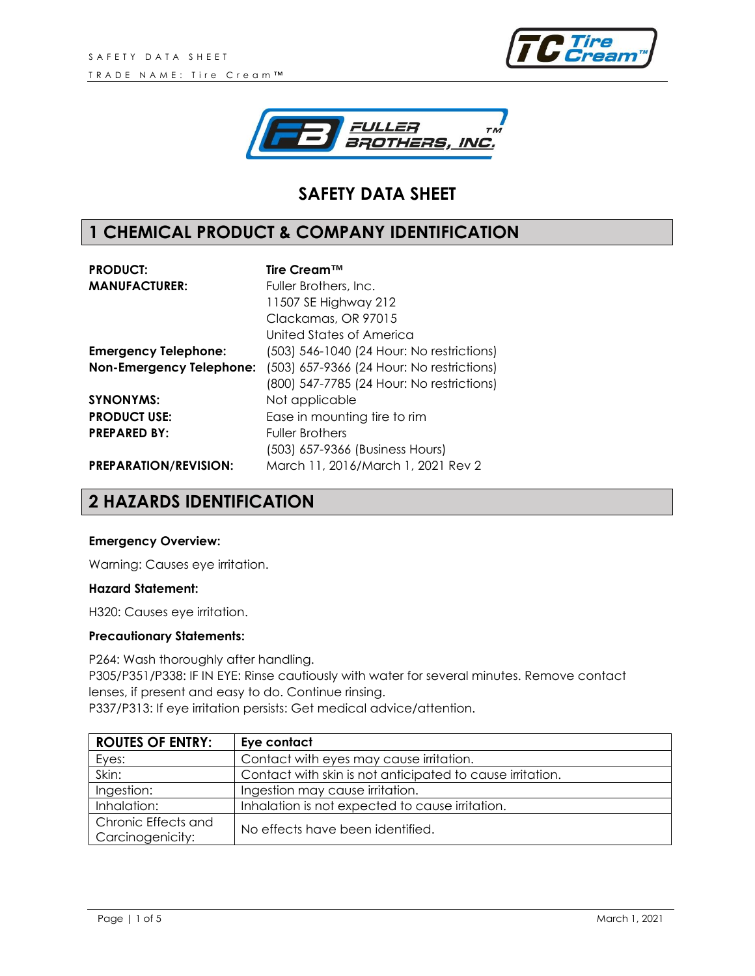



# **SAFETY DATA SHEET**

# **1 CHEMICAL PRODUCT & COMPANY IDENTIFICATION**

| <b>PRODUCT:</b>                 | Tire Cream™                               |  |  |
|---------------------------------|-------------------------------------------|--|--|
| <b>MANUFACTURER:</b>            | Fuller Brothers, Inc.                     |  |  |
|                                 | 11507 SE Highway 212                      |  |  |
|                                 | Clackamas, OR 97015                       |  |  |
|                                 | United States of America                  |  |  |
| <b>Emergency Telephone:</b>     | (503) 546-1040 (24 Hour: No restrictions) |  |  |
| <b>Non-Emergency Telephone:</b> | (503) 657-9366 (24 Hour: No restrictions) |  |  |
|                                 | (800) 547-7785 (24 Hour: No restrictions) |  |  |
| <b>SYNONYMS:</b>                | Not applicable                            |  |  |
| <b>PRODUCT USE:</b>             | Ease in mounting tire to rim              |  |  |
| <b>PREPARED BY:</b>             | <b>Fuller Brothers</b>                    |  |  |
|                                 | (503) 657-9366 (Business Hours)           |  |  |
| <b>PREPARATION/REVISION:</b>    | March 11, 2016/March 1, 2021 Rev 2        |  |  |

## **2 HAZARDS IDENTIFICATION**

#### **Emergency Overview:**

Warning: Causes eye irritation.

#### **Hazard Statement:**

H320: Causes eye irritation.

#### **Precautionary Statements:**

P264: Wash thoroughly after handling. P305/P351/P338: IF IN EYE: Rinse cautiously with water for several minutes. Remove contact lenses, if present and easy to do. Continue rinsing. P337/P313: If eye irritation persists: Get medical advice/attention.

| <b>ROUTES OF ENTRY:</b> | Eye contact                                               |
|-------------------------|-----------------------------------------------------------|
| Eyes:                   | Contact with eyes may cause irritation.                   |
| Skin:                   | Contact with skin is not anticipated to cause irritation. |
| Ingestion:              | Ingestion may cause irritation.                           |
| Inhalation:             | Inhalation is not expected to cause irritation.           |
| Chronic Effects and     | No effects have been identified.                          |
| Carcinogenicity:        |                                                           |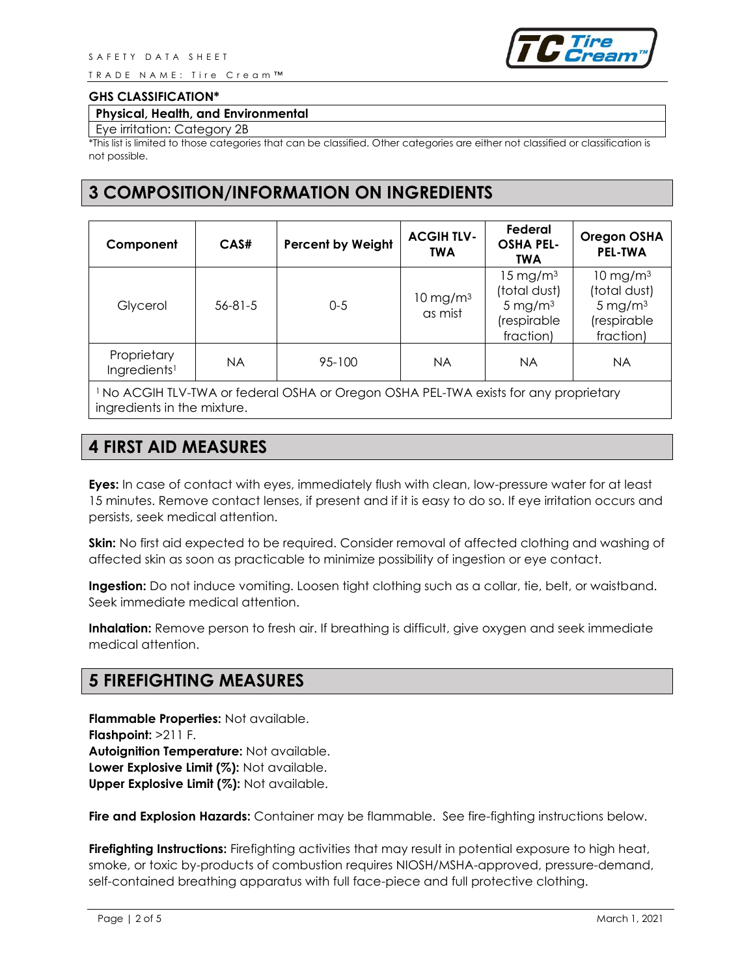TRADE NAME: Tire Cream™



#### **GHS CLASSIFICATION\***

#### **Physical, Health, and Environmental**

#### Eye irritation: Category 2B

\*This list is limited to those categories that can be classified. Other categories are either not classified or classification is not possible.

### **3 COMPOSITION/INFORMATION ON INGREDIENTS**

| Component                               | CAS#          | <b>Percent by Weight</b> | <b>ACGIH TLV-</b><br><b>TWA</b> | Federal<br><b>OSHA PEL-</b><br><b>TWA</b>                                                   | <b>Oregon OSHA</b><br><b>PEL-TWA</b>                                                     |
|-----------------------------------------|---------------|--------------------------|---------------------------------|---------------------------------------------------------------------------------------------|------------------------------------------------------------------------------------------|
| Glycerol                                | $56 - 81 - 5$ | $0-5$                    | $10 \text{ mg/m}^3$<br>as mist  | $15 \,\mathrm{mg/m^3}$<br>(total dust)<br>$5 \,\mathrm{mg/m^3}$<br>(respirable<br>fraction) | $10 \text{ mg/m}^3$<br>(total dust)<br>$5 \,\mathrm{mg/m^3}$<br>(respirable<br>fraction) |
| Proprietary<br>Ingredients <sup>1</sup> | <b>NA</b>     | 95-100                   | NA                              | <b>NA</b>                                                                                   | <b>NA</b>                                                                                |

<sup>1</sup>No ACGIH TLV-TWA or federal OSHA or Oregon OSHA PEL-TWA exists for any proprietary ingredients in the mixture.

# **4 FIRST AID MEASURES**

**Eyes:** In case of contact with eyes, immediately flush with clean, low-pressure water for at least 15 minutes. Remove contact lenses, if present and if it is easy to do so. If eye irritation occurs and persists, seek medical attention.

**Skin:** No first aid expected to be required. Consider removal of affected clothing and washing of affected skin as soon as practicable to minimize possibility of ingestion or eye contact.

**Ingestion:** Do not induce vomiting. Loosen tight clothing such as a collar, tie, belt, or waistband. Seek immediate medical attention.

**Inhalation:** Remove person to fresh air. If breathing is difficult, give oxygen and seek immediate medical attention.

### **5 FIREFIGHTING MEASURES**

**Flammable Properties:** Not available. **Flashpoint:** >211 F. **Autoignition Temperature:** Not available. **Lower Explosive Limit (%):** Not available. **Upper Explosive Limit (%):** Not available.

**Fire and Explosion Hazards:** Container may be flammable. See fire-fighting instructions below.

**Firefighting Instructions:** Firefighting activities that may result in potential exposure to high heat, smoke, or toxic by-products of combustion requires NIOSH/MSHA-approved, pressure-demand, self-contained breathing apparatus with full face-piece and full protective clothing.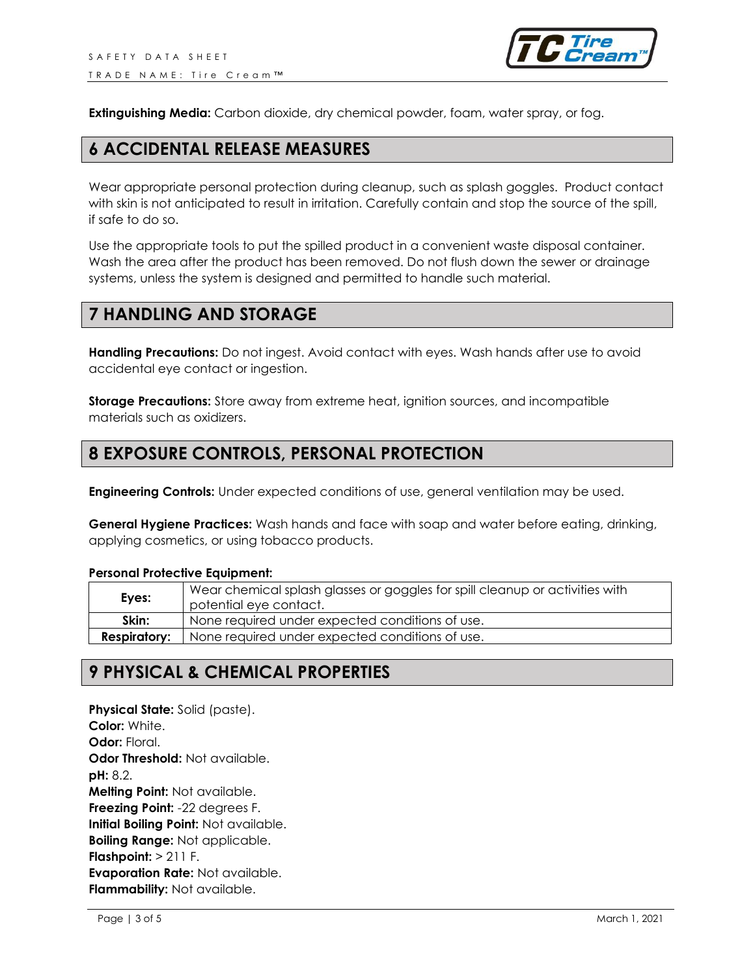

**Extinguishing Media:** Carbon dioxide, dry chemical powder, foam, water spray, or fog.

### **6 ACCIDENTAL RELEASE MEASURES**

Wear appropriate personal protection during cleanup, such as splash goggles. Product contact with skin is not anticipated to result in irritation. Carefully contain and stop the source of the spill, if safe to do so.

Use the appropriate tools to put the spilled product in a convenient waste disposal container. Wash the area after the product has been removed. Do not flush down the sewer or drainage systems, unless the system is designed and permitted to handle such material.

### **7 HANDLING AND STORAGE**

**Handling Precautions:** Do not ingest. Avoid contact with eyes. Wash hands after use to avoid accidental eye contact or ingestion.

**Storage Precautions:** Store away from extreme heat, ignition sources, and incompatible materials such as oxidizers.

### **8 EXPOSURE CONTROLS, PERSONAL PROTECTION**

**Engineering Controls:** Under expected conditions of use, general ventilation may be used.

**General Hygiene Practices:** Wash hands and face with soap and water before eating, drinking, applying cosmetics, or using tobacco products.

#### **Personal Protective Equipment:**

| Eyes:               | Wear chemical splash glasses or goggles for spill cleanup or activities with<br>potential eye contact. |  |
|---------------------|--------------------------------------------------------------------------------------------------------|--|
| Skin:               | None required under expected conditions of use.                                                        |  |
| <b>Respiratory:</b> | None required under expected conditions of use.                                                        |  |

### **9 PHYSICAL & CHEMICAL PROPERTIES**

**Physical State:** Solid (paste). **Color:** White. **Odor:** Floral. **Odor Threshold: Not available. pH:** 8.2. **Melting Point:** Not available. **Freezing Point:** -22 degrees F. **Initial Boiling Point:** Not available. **Boiling Range:** Not applicable. **Flashpoint:** > 211 F. **Evaporation Rate:** Not available. **Flammability:** Not available.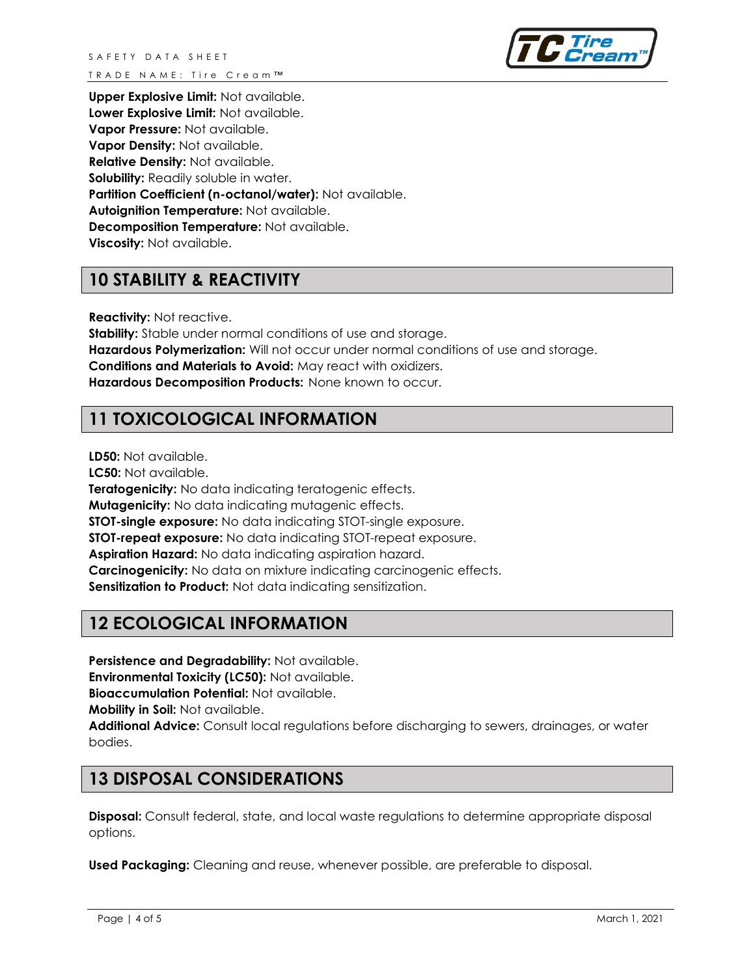

**Upper Explosive Limit:** Not available. **Lower Explosive Limit:** Not available. **Vapor Pressure:** Not available. **Vapor Density:** Not available. **Relative Density:** Not available. **Solubility:** Readily soluble in water. **Partition Coefficient (n-octanol/water):** Not available. **Autoignition Temperature:** Not available. **Decomposition Temperature:** Not available. **Viscosity:** Not available.

# **10 STABILITY & REACTIVITY**

**Reactivity:** Not reactive.

**Stability:** Stable under normal conditions of use and storage. **Hazardous Polymerization:** Will not occur under normal conditions of use and storage. **Conditions and Materials to Avoid:** May react with oxidizers. **Hazardous Decomposition Products:** None known to occur.

# **11 TOXICOLOGICAL INFORMATION**

**LD50:** Not available.

**LC50:** Not available.

**Teratogenicity:** No data indicating teratogenic effects. **Mutagenicity:** No data indicating mutagenic effects. **STOT-single exposure:** No data indicating STOT-single exposure. **STOT-repeat exposure:** No data indicating STOT-repeat exposure. **Aspiration Hazard:** No data indicating aspiration hazard. **Carcinogenicity:** No data on mixture indicating carcinogenic effects. **Sensitization to Product:** Not data indicating sensitization.

# **12 ECOLOGICAL INFORMATION**

**Persistence and Degradability:** Not available. **Environmental Toxicity (LC50):** Not available. **Bioaccumulation Potential:** Not available. **Mobility in Soil:** Not available. **Additional Advice:** Consult local regulations before discharging to sewers, drainages, or water bodies.

# **13 DISPOSAL CONSIDERATIONS**

**Disposal:** Consult federal, state, and local waste regulations to determine appropriate disposal options.

**Used Packaging:** Cleaning and reuse, whenever possible, are preferable to disposal.